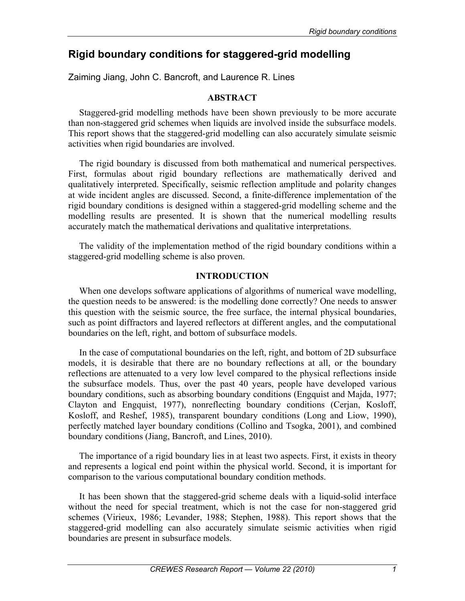# **Rigid boundary conditions for staggered-grid modelling**

Zaiming Jiang, John C. Bancroft, and Laurence R. Lines

# **ABSTRACT**

Staggered-grid modelling methods have been shown previously to be more accurate than non-staggered grid schemes when liquids are involved inside the subsurface models. This report shows that the staggered-grid modelling can also accurately simulate seismic activities when rigid boundaries are involved.

The rigid boundary is discussed from both mathematical and numerical perspectives. First, formulas about rigid boundary reflections are mathematically derived and qualitatively interpreted. Specifically, seismic reflection amplitude and polarity changes at wide incident angles are discussed. Second, a finite-difference implementation of the rigid boundary conditions is designed within a staggered-grid modelling scheme and the modelling results are presented. It is shown that the numerical modelling results accurately match the mathematical derivations and qualitative interpretations.

The validity of the implementation method of the rigid boundary conditions within a staggered-grid modelling scheme is also proven.

## **INTRODUCTION**

When one develops software applications of algorithms of numerical wave modelling, the question needs to be answered: is the modelling done correctly? One needs to answer this question with the seismic source, the free surface, the internal physical boundaries, such as point diffractors and layered reflectors at different angles, and the computational boundaries on the left, right, and bottom of subsurface models.

In the case of computational boundaries on the left, right, and bottom of 2D subsurface models, it is desirable that there are no boundary reflections at all, or the boundary reflections are attenuated to a very low level compared to the physical reflections inside the subsurface models. Thus, over the past 40 years, people have developed various boundary conditions, such as absorbing boundary conditions (Engquist and Majda, 1977; Clayton and Engquist, 1977), nonreflecting boundary conditions (Cerjan, Kosloff, Kosloff, and Reshef, 1985), transparent boundary conditions (Long and Liow, 1990), perfectly matched layer boundary conditions (Collino and Tsogka, 2001), and combined boundary conditions (Jiang, Bancroft, and Lines, 2010).

The importance of a rigid boundary lies in at least two aspects. First, it exists in theory and represents a logical end point within the physical world. Second, it is important for comparison to the various computational boundary condition methods.

It has been shown that the staggered-grid scheme deals with a liquid-solid interface without the need for special treatment, which is not the case for non-staggered grid schemes (Virieux, 1986; Levander, 1988; Stephen, 1988). This report shows that the staggered-grid modelling can also accurately simulate seismic activities when rigid boundaries are present in subsurface models.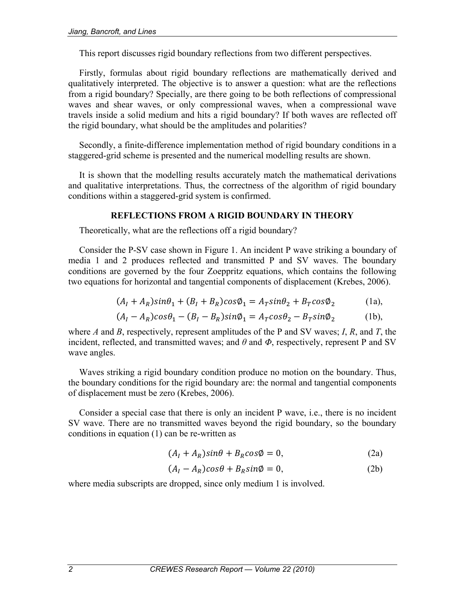This report discusses rigid boundary reflections from two different perspectives.

Firstly, formulas about rigid boundary reflections are mathematically derived and qualitatively interpreted. The objective is to answer a question: what are the reflections from a rigid boundary? Specially, are there going to be both reflections of compressional waves and shear waves, or only compressional waves, when a compressional wave travels inside a solid medium and hits a rigid boundary? If both waves are reflected off the rigid boundary, what should be the amplitudes and polarities?

Secondly, a finite-difference implementation method of rigid boundary conditions in a staggered-grid scheme is presented and the numerical modelling results are shown.

It is shown that the modelling results accurately match the mathematical derivations and qualitative interpretations. Thus, the correctness of the algorithm of rigid boundary conditions within a staggered-grid system is confirmed.

## **REFLECTIONS FROM A RIGID BOUNDARY IN THEORY**

Theoretically, what are the reflections off a rigid boundary?

Consider the P-SV case shown in Figure 1. An incident P wave striking a boundary of media 1 and 2 produces reflected and transmitted P and SV waves. The boundary conditions are governed by the four Zoeppritz equations, which contains the following two equations for horizontal and tangential components of displacement (Krebes, 2006).

$$
(AI + AR)sin\theta1 + (BI + BR)cos\phi1 = ATsin\theta2 + BTcos\phi2
$$
 (1a),

$$
(AI - AR)cos\theta1 - (BI - BR)sin\phi1 = ATcos\theta2 - BTsin\phi2
$$
 (1b),

where *A* and *B*, respectively, represent amplitudes of the P and SV waves; *I*, *R*, and *T*, the incident, reflected, and transmitted waves; and *θ* and *Φ*, respectively, represent P and SV wave angles.

Waves striking a rigid boundary condition produce no motion on the boundary. Thus, the boundary conditions for the rigid boundary are: the normal and tangential components of displacement must be zero (Krebes, 2006).

Consider a special case that there is only an incident P wave, i.e., there is no incident SV wave. There are no transmitted waves beyond the rigid boundary, so the boundary conditions in equation (1) can be re-written as

$$
(AI + AR)sin\theta + BRcos\phi = 0,
$$
 (2a)

$$
(AI - AR)cos\theta + BRsin\phi = 0,
$$
 (2b)

where media subscripts are dropped, since only medium 1 is involved.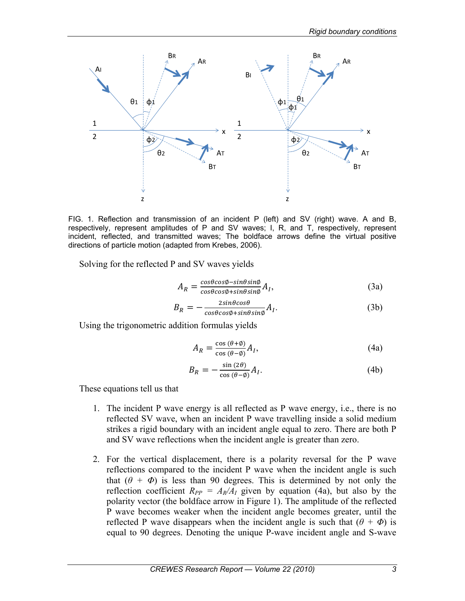

FIG. 1. Reflection and transmission of an incident P (left) and SV (right) wave. A and B, respectively, represent amplitudes of P and SV waves; I, R, and T, respectively, represent incident, reflected, and transmitted waves; The boldface arrows define the virtual positive directions of particle motion (adapted from Krebes, 2006).

Solving for the reflected P and SV waves yields

$$
A_R = \frac{\cos\theta\cos\phi - \sin\theta\sin\phi}{\cos\theta\cos\phi + \sin\theta\sin\phi} A_I,
$$
\n(3a)

$$
B_R = -\frac{2\sin\theta\cos\theta}{\cos\theta\cos\phi + \sin\theta\sin\phi} A_I.
$$
 (3b)

Using the trigonometric addition formulas yields

$$
A_R = \frac{\cos(\theta + \phi)}{\cos(\theta - \phi)} A_I,
$$
\n(4a)

$$
B_R = -\frac{\sin\left(2\theta\right)}{\cos\left(\theta - \phi\right)} A_I. \tag{4b}
$$

These equations tell us that

- 1. The incident P wave energy is all reflected as P wave energy, i.e., there is no reflected SV wave, when an incident P wave travelling inside a solid medium strikes a rigid boundary with an incident angle equal to zero. There are both P and SV wave reflections when the incident angle is greater than zero.
- 2. For the vertical displacement, there is a polarity reversal for the P wave reflections compared to the incident P wave when the incident angle is such that  $(\theta + \Phi)$  is less than 90 degrees. This is determined by not only the reflection coefficient  $R_{PP} = A_R/A_I$  given by equation (4a), but also by the polarity vector (the boldface arrow in Figure 1). The amplitude of the reflected P wave becomes weaker when the incident angle becomes greater, until the reflected P wave disappears when the incident angle is such that  $(\theta + \Phi)$  is equal to 90 degrees. Denoting the unique P-wave incident angle and S-wave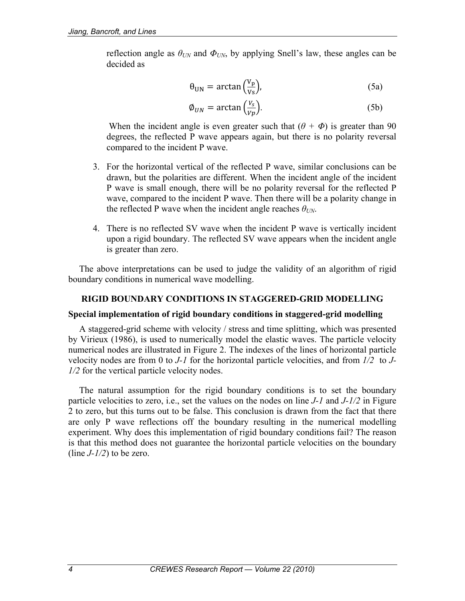reflection angle as  $\theta_{UN}$  and  $\Phi_{UN}$ , by applying Snell's law, these angles can be decided as

$$
\theta_{UN} = \arctan\left(\frac{V_p}{V_s}\right),\tag{5a}
$$

$$
\phi_{UN} = \arctan\left(\frac{v_s}{v_p}\right). \tag{5b}
$$

When the incident angle is even greater such that  $(\theta + \Phi)$  is greater than 90 degrees, the reflected P wave appears again, but there is no polarity reversal compared to the incident P wave.

- 3. For the horizontal vertical of the reflected P wave, similar conclusions can be drawn, but the polarities are different. When the incident angle of the incident P wave is small enough, there will be no polarity reversal for the reflected P wave, compared to the incident P wave. Then there will be a polarity change in the reflected P wave when the incident angle reaches *θUN*.
- 4. There is no reflected SV wave when the incident P wave is vertically incident upon a rigid boundary. The reflected SV wave appears when the incident angle is greater than zero.

The above interpretations can be used to judge the validity of an algorithm of rigid boundary conditions in numerical wave modelling.

### **RIGID BOUNDARY CONDITIONS IN STAGGERED-GRID MODELLING**

### **Special implementation of rigid boundary conditions in staggered-grid modelling**

A staggered-grid scheme with velocity / stress and time splitting, which was presented by Virieux (1986), is used to numerically model the elastic waves. The particle velocity numerical nodes are illustrated in Figure 2. The indexes of the lines of horizontal particle velocity nodes are from 0 to *J-1* for the horizontal particle velocities, and from *1/2* to *J-1/2* for the vertical particle velocity nodes.

The natural assumption for the rigid boundary conditions is to set the boundary particle velocities to zero, i.e., set the values on the nodes on line *J-1* and *J-1/2* in Figure 2 to zero, but this turns out to be false. This conclusion is drawn from the fact that there are only P wave reflections off the boundary resulting in the numerical modelling experiment. Why does this implementation of rigid boundary conditions fail? The reason is that this method does not guarantee the horizontal particle velocities on the boundary (line  $J-1/2$ ) to be zero.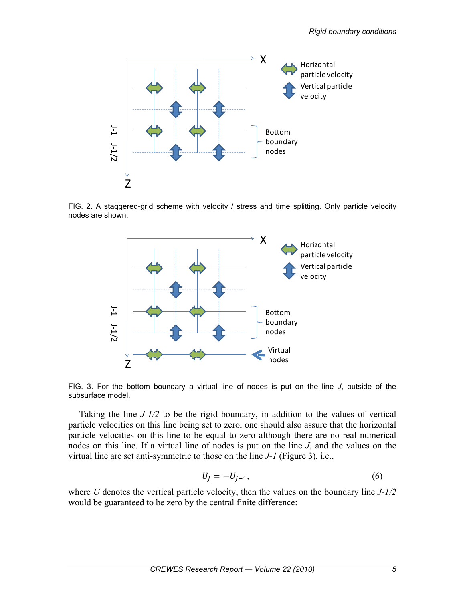

FIG. 2. A staggered-grid scheme with velocity / stress and time splitting. Only particle velocity nodes are shown.



FIG. 3. For the bottom boundary a virtual line of nodes is put on the line *J*, outside of the subsurface model.

Taking the line *J-1/2* to be the rigid boundary, in addition to the values of vertical particle velocities on this line being set to zero, one should also assure that the horizontal particle velocities on this line to be equal to zero although there are no real numerical nodes on this line. If a virtual line of nodes is put on the line *J*, and the values on the virtual line are set anti-symmetric to those on the line *J-1* (Figure 3), i.e.,

$$
U_J = -U_{J-1},\tag{6}
$$

where *U* denotes the vertical particle velocity, then the values on the boundary line *J-1/2*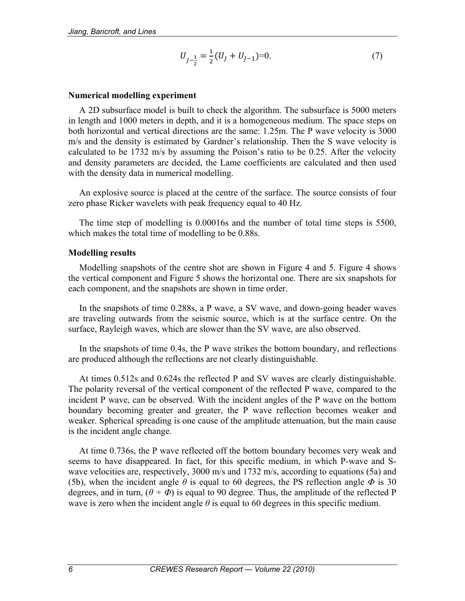$$
U_{J-\frac{1}{2}} = \frac{1}{2}(U_J + U_{J-1}) = 0.
$$
\n(7)

#### **Numerical modelling experiment**

A 2D subsurface model is built to check the algorithm. The subsurface is 5000 meters in length and 1000 meters in depth, and it is a homogeneous medium. The space steps on both horizontal and vertical directions are the same: 1.25m. The P wave velocity is 3000 m/s and the density is estimated by Gardner's relationship. Then the S wave velocity is calculated to be 1732 m/s by assuming the Poison's ratio to be 0.25. After the velocity and density parameters are decided, the Lame coefficients are calculated and then used with the density data in numerical modelling.

An explosive source is placed at the centre of the surface. The source consists of four zero phase Ricker wavelets with peak frequency equal to 40 Hz.

The time step of modelling is 0.00016s and the number of total time steps is 5500, which makes the total time of modelling to be 0.88s.

#### **Modelling results**

Modelling snapshots of the centre shot are shown in Figure 4 and 5. Figure 4 shows the vertical component and Figure 5 shows the horizontal one. There are six snapshots for each component, and the snapshots are shown in time order.

In the snapshots of time 0.288s, a P wave, a SV wave, and down-going header waves are traveling outwards from the seismic source, which is at the surface centre. On the surface, Rayleigh waves, which are slower than the SV wave, are also observed.

In the snapshots of time 0.4s, the P wave strikes the bottom boundary, and reflections are produced although the reflections are not clearly distinguishable.

At times 0.512s and 0.624s the reflected P and SV waves are clearly distinguishable. The polarity reversal of the vertical component of the reflected P wave, compared to the incident P wave, can be observed. With the incident angles of the P wave on the bottom boundary becoming greater and greater, the P wave reflection becomes weaker and weaker. Spherical spreading is one cause of the amplitude attenuation, but the main cause is the incident angle change.

At time 0.736s, the P wave reflected off the bottom boundary becomes very weak and seems to have disappeared. In fact, for this specific medium, in which P-wave and Swave velocities are, respectively, 3000 m/s and 1732 m/s, according to equations (5a) and (5b), when the incident angle  $\theta$  is equal to 60 degrees, the PS reflection angle  $\Phi$  is 30 degrees, and in turn,  $(\theta + \Phi)$  is equal to 90 degree. Thus, the amplitude of the reflected P wave is zero when the incident angle  $\theta$  is equal to 60 degrees in this specific medium.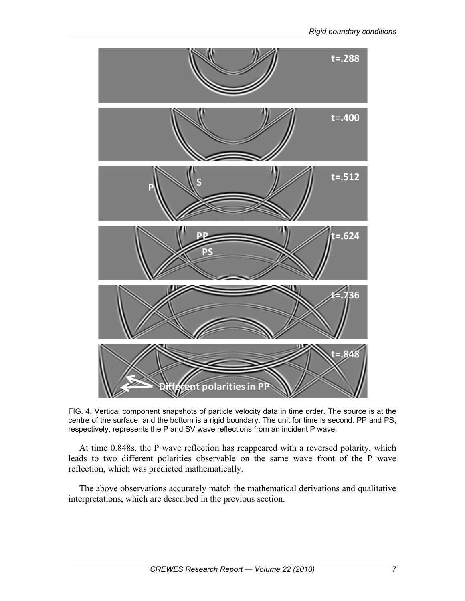

FIG. 4. Vertical component snapshots of particle velocity data in time order. The source is at the centre of the surface, and the bottom is a rigid boundary. The unit for time is second. PP and PS, respectively, represents the P and SV wave reflections from an incident P wave.

At time 0.848s, the P wave reflection has reappeared with a reversed polarity, which leads to two different polarities observable on the same wave front of the P wave reflection, which was predicted mathematically.

The above observations accurately match the mathematical derivations and qualitative interpretations, which are described in the previous section.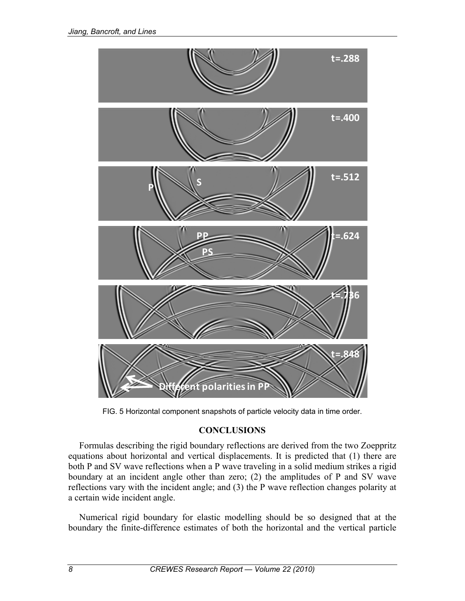

FIG. 5 Horizontal component snapshots of particle velocity data in time order.

## **CONCLUSIONS**

Formulas describing the rigid boundary reflections are derived from the two Zoeppritz equations about horizontal and vertical displacements. It is predicted that (1) there are both P and SV wave reflections when a P wave traveling in a solid medium strikes a rigid boundary at an incident angle other than zero; (2) the amplitudes of P and SV wave reflections vary with the incident angle; and (3) the P wave reflection changes polarity at a certain wide incident angle.

Numerical rigid boundary for elastic modelling should be so designed that at the boundary the finite-difference estimates of both the horizontal and the vertical particle